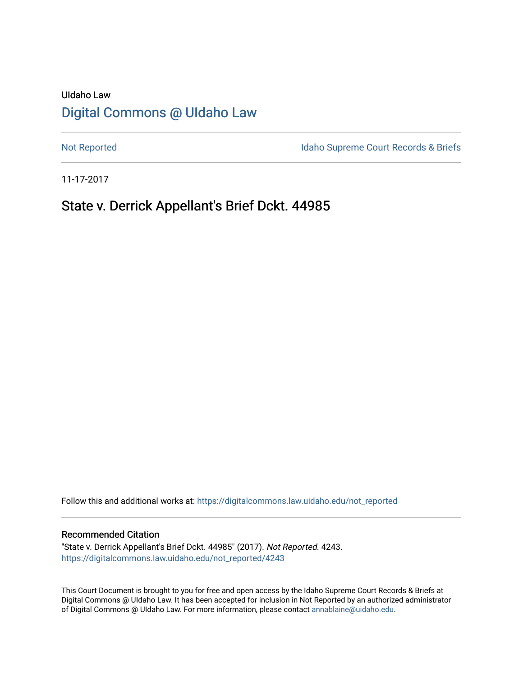## UIdaho Law [Digital Commons @ UIdaho Law](https://digitalcommons.law.uidaho.edu/)

[Not Reported](https://digitalcommons.law.uidaho.edu/not_reported) **Idaho Supreme Court Records & Briefs** 

11-17-2017

# State v. Derrick Appellant's Brief Dckt. 44985

Follow this and additional works at: [https://digitalcommons.law.uidaho.edu/not\\_reported](https://digitalcommons.law.uidaho.edu/not_reported?utm_source=digitalcommons.law.uidaho.edu%2Fnot_reported%2F4243&utm_medium=PDF&utm_campaign=PDFCoverPages) 

#### Recommended Citation

"State v. Derrick Appellant's Brief Dckt. 44985" (2017). Not Reported. 4243. [https://digitalcommons.law.uidaho.edu/not\\_reported/4243](https://digitalcommons.law.uidaho.edu/not_reported/4243?utm_source=digitalcommons.law.uidaho.edu%2Fnot_reported%2F4243&utm_medium=PDF&utm_campaign=PDFCoverPages)

This Court Document is brought to you for free and open access by the Idaho Supreme Court Records & Briefs at Digital Commons @ UIdaho Law. It has been accepted for inclusion in Not Reported by an authorized administrator of Digital Commons @ UIdaho Law. For more information, please contact [annablaine@uidaho.edu](mailto:annablaine@uidaho.edu).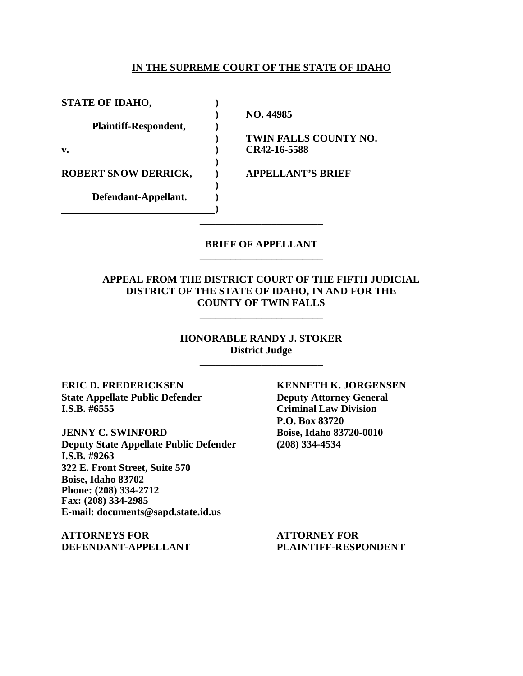### **IN THE SUPREME COURT OF THE STATE OF IDAHO**

**STATE OF IDAHO, ) ) NO. 44985 Plaintiff-Respondent, ) v. ) CR42-16-5588 ) ROBERT SNOW DERRICK, ) APPELLANT'S BRIEF ) Defendant-Appellant. ) )**

**) TWIN FALLS COUNTY NO.**

### **BRIEF OF APPELLANT** \_\_\_\_\_\_\_\_\_\_\_\_\_\_\_\_\_\_\_\_\_\_\_\_

\_\_\_\_\_\_\_\_\_\_\_\_\_\_\_\_\_\_\_\_\_\_\_\_

### **APPEAL FROM THE DISTRICT COURT OF THE FIFTH JUDICIAL DISTRICT OF THE STATE OF IDAHO, IN AND FOR THE COUNTY OF TWIN FALLS**

\_\_\_\_\_\_\_\_\_\_\_\_\_\_\_\_\_\_\_\_\_\_\_\_

**HONORABLE RANDY J. STOKER District Judge** \_\_\_\_\_\_\_\_\_\_\_\_\_\_\_\_\_\_\_\_\_\_\_\_

**ERIC D. FREDERICKSEN KENNETH K. JORGENSEN State Appellate Public Defender Deputy Attorney General I.S.B. #6555 Criminal Law Division**

**Deputy State Appellate Public Defender (208) 334-4534 I.S.B. #9263 322 E. Front Street, Suite 570 Boise, Idaho 83702 Phone: (208) 334-2712 Fax: (208) 334-2985 E-mail: documents@sapd.state.id.us**

**ATTORNEYS FOR ATTORNEY FOR DEFENDANT-APPELLANT PLAINTIFF-RESPONDENT**

**P.O. Box 83720 JENNY C. SWINFORD Boise, Idaho 83720-0010**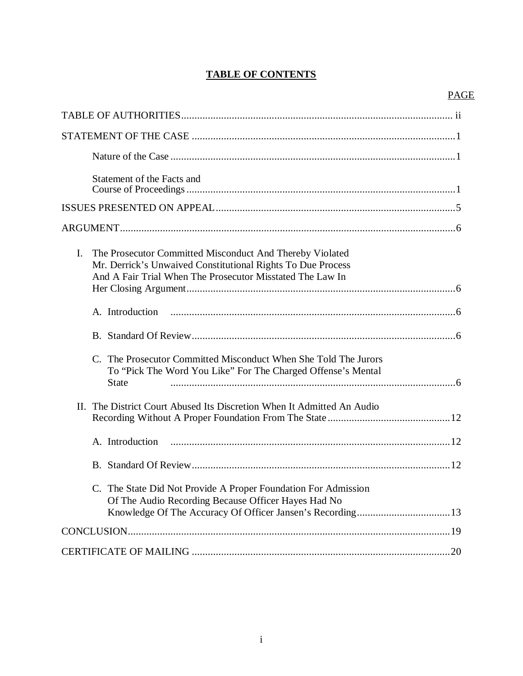### **TABLE OF CONTENTS**

### PAGE

| Statement of the Facts and                                                                                                                                                                 |
|--------------------------------------------------------------------------------------------------------------------------------------------------------------------------------------------|
|                                                                                                                                                                                            |
|                                                                                                                                                                                            |
| I.<br>The Prosecutor Committed Misconduct And Thereby Violated<br>Mr. Derrick's Unwaived Constitutional Rights To Due Process<br>And A Fair Trial When The Prosecutor Misstated The Law In |
| A. Introduction                                                                                                                                                                            |
|                                                                                                                                                                                            |
| C. The Prosecutor Committed Misconduct When She Told The Jurors<br>To "Pick The Word You Like" For The Charged Offense's Mental<br><b>State</b>                                            |
| II. The District Court Abused Its Discretion When It Admitted An Audio                                                                                                                     |
| A. Introduction                                                                                                                                                                            |
|                                                                                                                                                                                            |
| C. The State Did Not Provide A Proper Foundation For Admission<br>Of The Audio Recording Because Officer Hayes Had No                                                                      |
|                                                                                                                                                                                            |
|                                                                                                                                                                                            |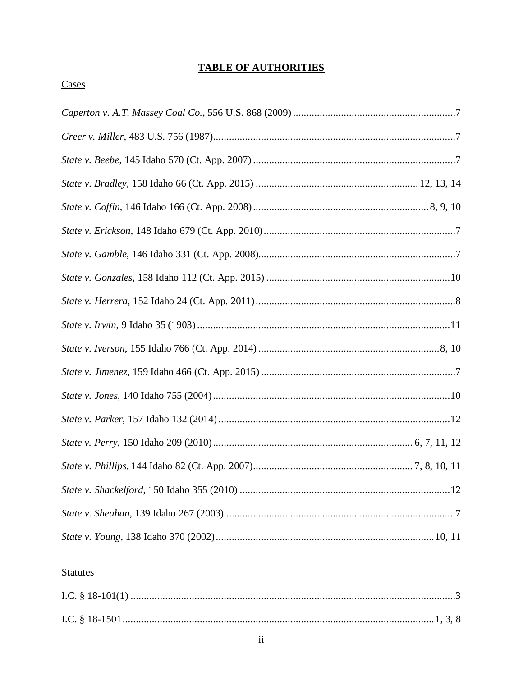### **TABLE OF AUTHORITIES**

### **Statutes**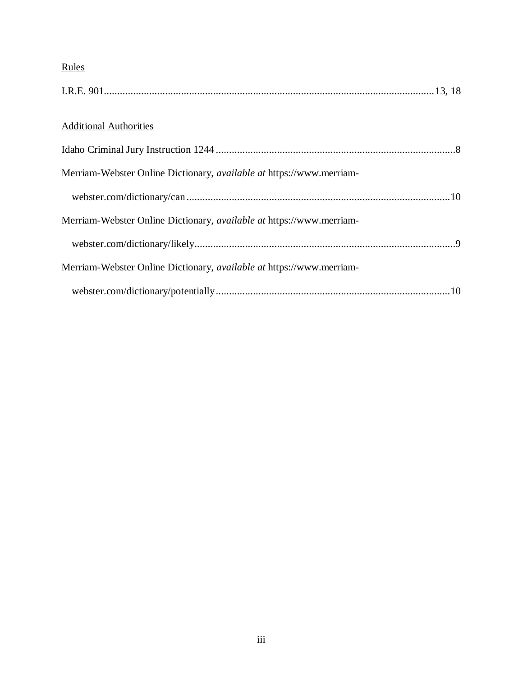## Rules

| <b>Additional Authorities</b>                                               |  |
|-----------------------------------------------------------------------------|--|
|                                                                             |  |
| Merriam-Webster Online Dictionary, available at https://www.merriam-        |  |
|                                                                             |  |
| Merriam-Webster Online Dictionary, <i>available at https://www.merriam-</i> |  |
|                                                                             |  |
| Merriam-Webster Online Dictionary, <i>available at https://www.merriam-</i> |  |
|                                                                             |  |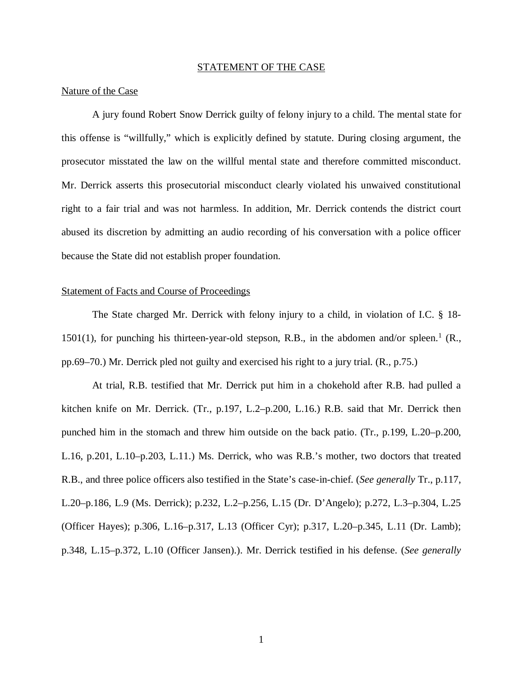#### STATEMENT OF THE CASE

#### Nature of the Case

A jury found Robert Snow Derrick guilty of felony injury to a child. The mental state for this offense is "willfully," which is explicitly defined by statute. During closing argument, the prosecutor misstated the law on the willful mental state and therefore committed misconduct. Mr. Derrick asserts this prosecutorial misconduct clearly violated his unwaived constitutional right to a fair trial and was not harmless. In addition, Mr. Derrick contends the district court abused its discretion by admitting an audio recording of his conversation with a police officer because the State did not establish proper foundation.

#### Statement of Facts and Course of Proceedings

The State charged Mr. Derrick with felony injury to a child, in violation of I.C. § 18-  $1501(1)$  $1501(1)$ , for punching his thirteen-year-old stepson, R.B., in the abdomen and/or spleen.<sup>1</sup> (R., pp.69–70.) Mr. Derrick pled not guilty and exercised his right to a jury trial. (R., p.75.)

<span id="page-5-0"></span>At trial, R.B. testified that Mr. Derrick put him in a chokehold after R.B. had pulled a kitchen knife on Mr. Derrick. (Tr., p.197, L.2–p.200, L.16.) R.B. said that Mr. Derrick then punched him in the stomach and threw him outside on the back patio. (Tr., p.199, L.20–p.200, L.16, p.201, L.10–p.203, L.11.) Ms. Derrick, who was R.B.'s mother, two doctors that treated R.B., and three police officers also testified in the State's case-in-chief. (*See generally* Tr., p.117, L.20–p.186, L.9 (Ms. Derrick); p.232, L.2–p.256, L.15 (Dr. D'Angelo); p.272, L.3–p.304, L.25 (Officer Hayes); p.306, L.16–p.317, L.13 (Officer Cyr); p.317, L.20–p.345, L.11 (Dr. Lamb); p.348, L.15–p.372, L.10 (Officer Jansen).). Mr. Derrick testified in his defense. (*See generally*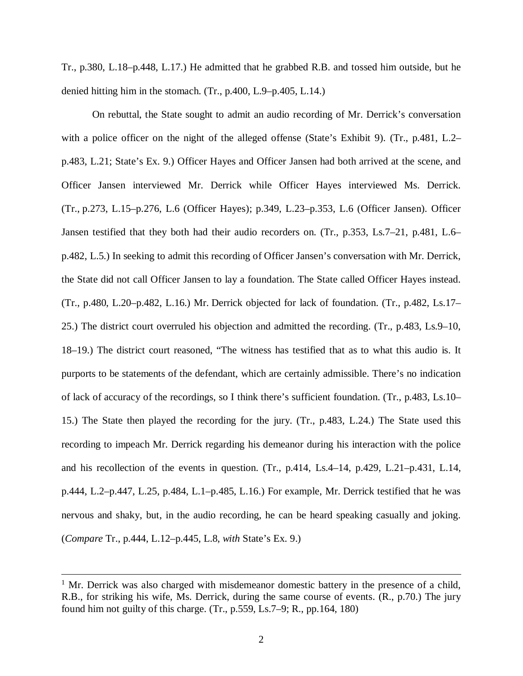Tr., p.380, L.18–p.448, L.17.) He admitted that he grabbed R.B. and tossed him outside, but he denied hitting him in the stomach. (Tr., p.400, L.9–p.405, L.14.)

On rebuttal, the State sought to admit an audio recording of Mr. Derrick's conversation with a police officer on the night of the alleged offense (State's Exhibit 9). (Tr., p.481, L.2– p.483, L.21; State's Ex. 9.) Officer Hayes and Officer Jansen had both arrived at the scene, and Officer Jansen interviewed Mr. Derrick while Officer Hayes interviewed Ms. Derrick. (Tr., p.273, L.15–p.276, L.6 (Officer Hayes); p.349, L.23–p.353, L.6 (Officer Jansen). Officer Jansen testified that they both had their audio recorders on. (Tr., p.353, Ls.7–21, p.481, L.6– p.482, L.5.) In seeking to admit this recording of Officer Jansen's conversation with Mr. Derrick, the State did not call Officer Jansen to lay a foundation. The State called Officer Hayes instead. (Tr., p.480, L.20–p.482, L.16.) Mr. Derrick objected for lack of foundation. (Tr., p.482, Ls.17– 25.) The district court overruled his objection and admitted the recording. (Tr., p.483, Ls.9–10, 18–19.) The district court reasoned, "The witness has testified that as to what this audio is. It purports to be statements of the defendant, which are certainly admissible. There's no indication of lack of accuracy of the recordings, so I think there's sufficient foundation. (Tr., p.483, Ls.10– 15.) The State then played the recording for the jury. (Tr., p.483, L.24.) The State used this recording to impeach Mr. Derrick regarding his demeanor during his interaction with the police and his recollection of the events in question. (Tr., p.414, Ls.4–14, p.429, L.21–p.431, L.14, p.444, L.2–p.447, L.25, p.484, L.1–p.485, L.16.) For example, Mr. Derrick testified that he was nervous and shaky, but, in the audio recording, he can be heard speaking casually and joking. (*Compare* Tr., p.444, L.12–p.445, L.8, *with* State's Ex. 9.)

<sup>&</sup>lt;sup>1</sup> Mr. Derrick was also charged with misdemeanor domestic battery in the presence of a child, R.B., for striking his wife, Ms. Derrick, during the same course of events. (R., p.70.) The jury found him not guilty of this charge. (Tr., p.559, Ls.7–9; R., pp.164, 180)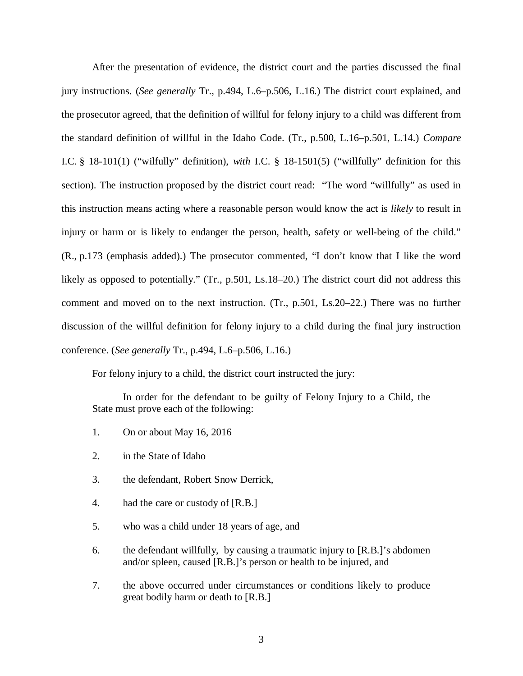After the presentation of evidence, the district court and the parties discussed the final jury instructions. (*See generally* Tr., p.494, L.6–p.506, L.16.) The district court explained, and the prosecutor agreed, that the definition of willful for felony injury to a child was different from the standard definition of willful in the Idaho Code. (Tr., p.500, L.16–p.501, L.14.) *Compare* I.C. § 18-101(1) ("wilfully" definition), *with* I.C. § 18-1501(5) ("willfully" definition for this section). The instruction proposed by the district court read: "The word "willfully" as used in this instruction means acting where a reasonable person would know the act is *likely* to result in injury or harm or is likely to endanger the person, health, safety or well-being of the child." (R., p.173 (emphasis added).) The prosecutor commented, "I don't know that I like the word likely as opposed to potentially." (Tr., p.501, Ls.18–20.) The district court did not address this comment and moved on to the next instruction. (Tr., p.501, Ls.20–22.) There was no further discussion of the willful definition for felony injury to a child during the final jury instruction conference. (*See generally* Tr., p.494, L.6–p.506, L.16.)

For felony injury to a child, the district court instructed the jury:

In order for the defendant to be guilty of Felony Injury to a Child, the State must prove each of the following:

- 1. On or about May 16, 2016
- 2. in the State of Idaho
- 3. the defendant, Robert Snow Derrick,
- 4. had the care or custody of [R.B.]
- 5. who was a child under 18 years of age, and
- 6. the defendant willfully, by causing a traumatic injury to [R.B.]'s abdomen and/or spleen, caused [R.B.]'s person or health to be injured, and
- 7. the above occurred under circumstances or conditions likely to produce great bodily harm or death to [R.B.]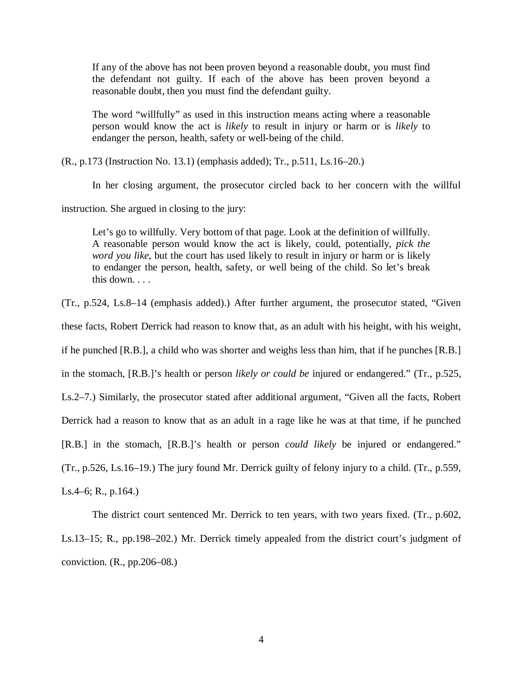If any of the above has not been proven beyond a reasonable doubt, you must find the defendant not guilty. If each of the above has been proven beyond a reasonable doubt, then you must find the defendant guilty.

The word "willfully" as used in this instruction means acting where a reasonable person would know the act is *likely* to result in injury or harm or is *likely* to endanger the person, health, safety or well-being of the child.

(R., p.173 (Instruction No. 13.1) (emphasis added); Tr., p.511, Ls.16–20.)

In her closing argument, the prosecutor circled back to her concern with the willful

instruction. She argued in closing to the jury:

Let's go to willfully. Very bottom of that page. Look at the definition of willfully. A reasonable person would know the act is likely, could, potentially, *pick the word you like*, but the court has used likely to result in injury or harm or is likely to endanger the person, health, safety, or well being of the child. So let's break this down. . . .

(Tr., p.524, Ls.8–14 (emphasis added).) After further argument, the prosecutor stated, "Given

these facts, Robert Derrick had reason to know that, as an adult with his height, with his weight,

if he punched [R.B.], a child who was shorter and weighs less than him, that if he punches [R.B.]

in the stomach, [R.B.]'s health or person *likely or could be* injured or endangered." (Tr., p.525,

Ls.2–7.) Similarly, the prosecutor stated after additional argument, "Given all the facts, Robert

Derrick had a reason to know that as an adult in a rage like he was at that time, if he punched

[R.B.] in the stomach, [R.B.]'s health or person *could likely* be injured or endangered."

(Tr., p.526, Ls.16–19.) The jury found Mr. Derrick guilty of felony injury to a child. (Tr., p.559,

Ls.4–6; R., p.164.)

The district court sentenced Mr. Derrick to ten years, with two years fixed. (Tr., p.602, Ls.13–15; R., pp.198–202.) Mr. Derrick timely appealed from the district court's judgment of conviction. (R., pp.206–08.)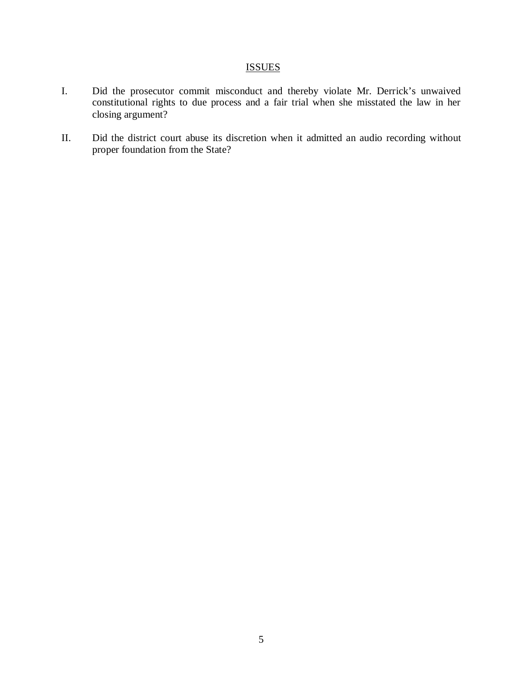### **ISSUES**

- I. Did the prosecutor commit misconduct and thereby violate Mr. Derrick's unwaived constitutional rights to due process and a fair trial when she misstated the law in her closing argument?
- II. Did the district court abuse its discretion when it admitted an audio recording without proper foundation from the State?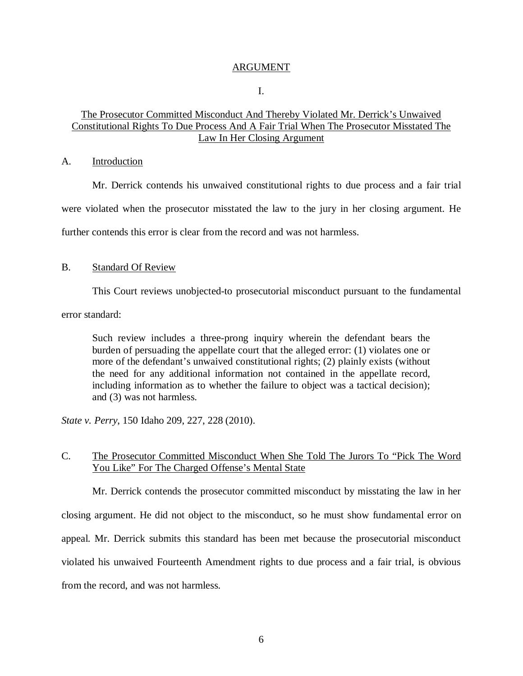### ARGUMENT

I.

### The Prosecutor Committed Misconduct And Thereby Violated Mr. Derrick's Unwaived Constitutional Rights To Due Process And A Fair Trial When The Prosecutor Misstated The Law In Her Closing Argument

### A. Introduction

Mr. Derrick contends his unwaived constitutional rights to due process and a fair trial were violated when the prosecutor misstated the law to the jury in her closing argument. He further contends this error is clear from the record and was not harmless.

### B. Standard Of Review

This Court reviews unobjected-to prosecutorial misconduct pursuant to the fundamental

error standard:

Such review includes a three-prong inquiry wherein the defendant bears the burden of persuading the appellate court that the alleged error: (1) violates one or more of the defendant's unwaived constitutional rights; (2) plainly exists (without the need for any additional information not contained in the appellate record, including information as to whether the failure to object was a tactical decision); and (3) was not harmless.

*State v. Perry*, 150 Idaho 209, 227, 228 (2010).

### C. The Prosecutor Committed Misconduct When She Told The Jurors To "Pick The Word You Like" For The Charged Offense's Mental State

Mr. Derrick contends the prosecutor committed misconduct by misstating the law in her closing argument. He did not object to the misconduct, so he must show fundamental error on appeal. Mr. Derrick submits this standard has been met because the prosecutorial misconduct violated his unwaived Fourteenth Amendment rights to due process and a fair trial, is obvious from the record, and was not harmless.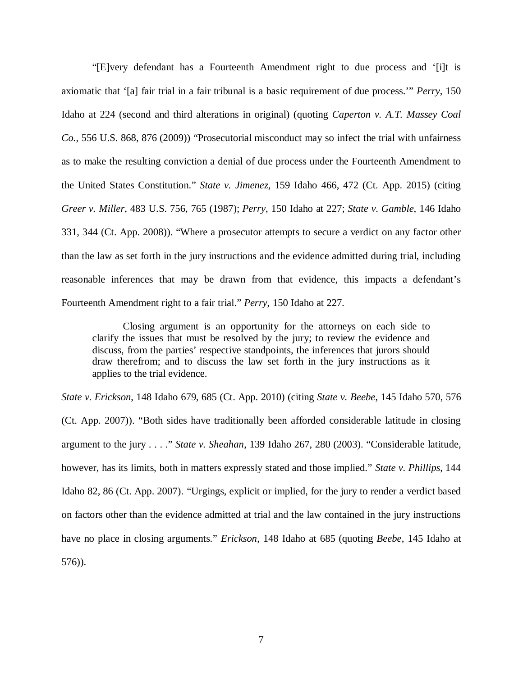"[E]very defendant has a Fourteenth Amendment right to due process and '[i]t is axiomatic that '[a] fair trial in a fair tribunal is a basic requirement of due process.'" *Perry*, 150 Idaho at 224 (second and third alterations in original) (quoting *Caperton v. A.T. Massey Coal Co.*, 556 U.S. 868, 876 (2009)) "Prosecutorial misconduct may so infect the trial with unfairness as to make the resulting conviction a denial of due process under the Fourteenth Amendment to the United States Constitution." *State v. Jimenez*, 159 Idaho 466, 472 (Ct. App. 2015) (citing *Greer v. Miller*, 483 U.S. 756, 765 (1987); *Perry*, 150 Idaho at 227; *State v. Gamble*, 146 Idaho 331, 344 (Ct. App. 2008)). "Where a prosecutor attempts to secure a verdict on any factor other than the law as set forth in the jury instructions and the evidence admitted during trial, including reasonable inferences that may be drawn from that evidence, this impacts a defendant's Fourteenth Amendment right to a fair trial." *Perry*, 150 Idaho at 227.

Closing argument is an opportunity for the attorneys on each side to clarify the issues that must be resolved by the jury; to review the evidence and discuss, from the parties' respective standpoints, the inferences that jurors should draw therefrom; and to discuss the law set forth in the jury instructions as it applies to the trial evidence.

*State v. Erickson*, 148 Idaho 679, 685 (Ct. App. 2010) (citing *State v. Beebe*, 145 Idaho 570, 576 (Ct. App. 2007)). "Both sides have traditionally been afforded considerable latitude in closing argument to the jury . . . ." *State v. Sheahan*, 139 Idaho 267, 280 (2003). "Considerable latitude, however, has its limits, both in matters expressly stated and those implied." *State v. Phillips*, 144 Idaho 82, 86 (Ct. App. 2007). "Urgings, explicit or implied, for the jury to render a verdict based on factors other than the evidence admitted at trial and the law contained in the jury instructions have no place in closing arguments." *Erickson*, 148 Idaho at 685 (quoting *Beebe*, 145 Idaho at 576)).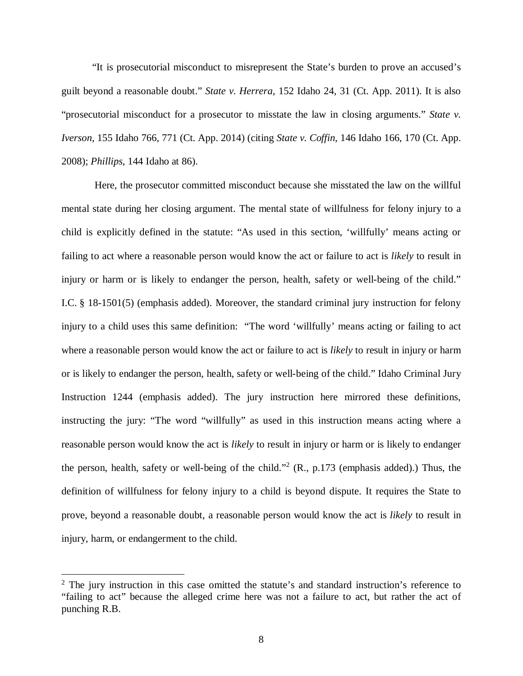"It is prosecutorial misconduct to misrepresent the State's burden to prove an accused's guilt beyond a reasonable doubt." *State v. Herrera*, 152 Idaho 24, 31 (Ct. App. 2011). It is also "prosecutorial misconduct for a prosecutor to misstate the law in closing arguments." *State v. Iverson*, 155 Idaho 766, 771 (Ct. App. 2014) (citing *State v. Coffin*, 146 Idaho 166, 170 (Ct. App. 2008); *Phillips*, 144 Idaho at 86).

 Here, the prosecutor committed misconduct because she misstated the law on the willful mental state during her closing argument. The mental state of willfulness for felony injury to a child is explicitly defined in the statute: "As used in this section, 'willfully' means acting or failing to act where a reasonable person would know the act or failure to act is *likely* to result in injury or harm or is likely to endanger the person, health, safety or well-being of the child." I.C. § 18-1501(5) (emphasis added). Moreover, the standard criminal jury instruction for felony injury to a child uses this same definition: "The word 'willfully' means acting or failing to act where a reasonable person would know the act or failure to act is *likely* to result in injury or harm or is likely to endanger the person, health, safety or well-being of the child." Idaho Criminal Jury Instruction 1244 (emphasis added). The jury instruction here mirrored these definitions, instructing the jury: "The word "willfully" as used in this instruction means acting where a reasonable person would know the act is *likely* to result in injury or harm or is likely to endanger the person, health, safety or well-being of the child."<sup>[2](#page-12-0)</sup> (R., p.173 (emphasis added).) Thus, the definition of willfulness for felony injury to a child is beyond dispute. It requires the State to prove, beyond a reasonable doubt, a reasonable person would know the act is *likely* to result in injury, harm, or endangerment to the child.

<span id="page-12-0"></span> $2$  The jury instruction in this case omitted the statute's and standard instruction's reference to "failing to act" because the alleged crime here was not a failure to act, but rather the act of punching R.B.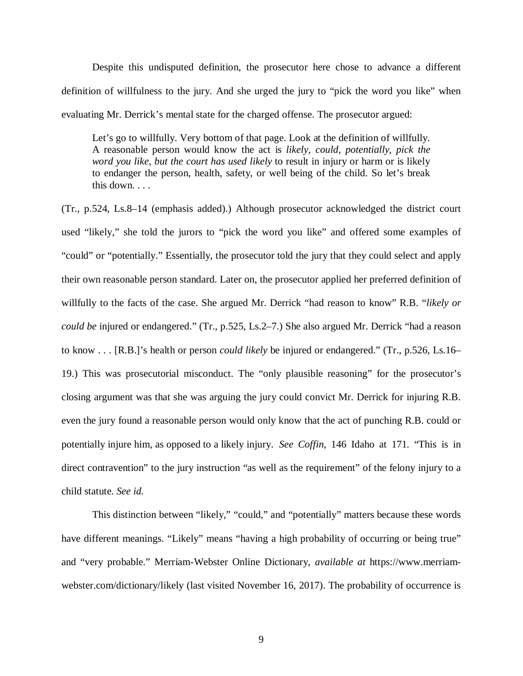Despite this undisputed definition, the prosecutor here chose to advance a different definition of willfulness to the jury. And she urged the jury to "pick the word you like" when evaluating Mr. Derrick's mental state for the charged offense. The prosecutor argued:

Let's go to willfully. Very bottom of that page. Look at the definition of willfully. A reasonable person would know the act is *likely, could, potentially, pick the word you like, but the court has used likely* to result in injury or harm or is likely to endanger the person, health, safety, or well being of the child. So let's break this down. . . .

(Tr., p.524, Ls.8–14 (emphasis added).) Although prosecutor acknowledged the district court used "likely," she told the jurors to "pick the word you like" and offered some examples of "could" or "potentially." Essentially, the prosecutor told the jury that they could select and apply their own reasonable person standard. Later on, the prosecutor applied her preferred definition of willfully to the facts of the case. She argued Mr. Derrick "had reason to know" R.B. "*likely or could be* injured or endangered." (Tr., p.525, Ls.2–7.) She also argued Mr. Derrick "had a reason to know . . . [R.B.]'s health or person *could likely* be injured or endangered." (Tr., p.526, Ls.16– 19.) This was prosecutorial misconduct. The "only plausible reasoning" for the prosecutor's closing argument was that she was arguing the jury could convict Mr. Derrick for injuring R.B. even the jury found a reasonable person would only know that the act of punching R.B. could or potentially injure him, as opposed to a likely injury. *See Coffin*, 146 Idaho at 171. "This is in direct contravention" to the jury instruction "as well as the requirement" of the felony injury to a child statute. *See id.*

This distinction between "likely," "could," and "potentially" matters because these words have different meanings. "Likely" means "having a high probability of occurring or being true" and "very probable." Merriam-Webster Online Dictionary, *available at* https://www.merriamwebster.com/dictionary/likely (last visited November 16, 2017). The probability of occurrence is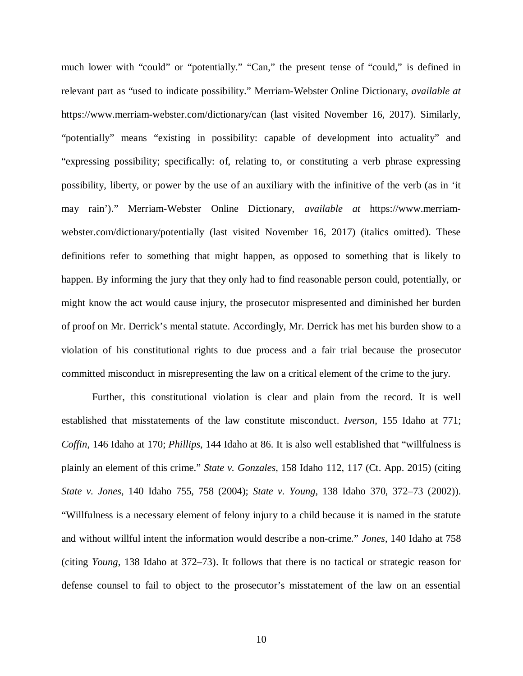much lower with "could" or "potentially." "Can," the present tense of "could," is defined in relevant part as "used to indicate possibility." Merriam-Webster Online Dictionary, *available at* https://www.merriam-webster.com/dictionary/can (last visited November 16, 2017). Similarly, "potentially" means "existing in possibility: capable of development into actuality" and "expressing possibility; specifically: of, relating to, or constituting a verb phrase expressing possibility, liberty, or power by the use of an auxiliary with the infinitive of the verb (as in 'it may rain')." Merriam-Webster Online Dictionary, *available at* https://www.merriamwebster.com/dictionary/potentially (last visited November 16, 2017) (italics omitted). These definitions refer to something that might happen, as opposed to something that is likely to happen. By informing the jury that they only had to find reasonable person could, potentially, or might know the act would cause injury, the prosecutor mispresented and diminished her burden of proof on Mr. Derrick's mental statute. Accordingly, Mr. Derrick has met his burden show to a violation of his constitutional rights to due process and a fair trial because the prosecutor committed misconduct in misrepresenting the law on a critical element of the crime to the jury.

Further, this constitutional violation is clear and plain from the record. It is well established that misstatements of the law constitute misconduct. *Iverson*, 155 Idaho at 771; *Coffin*, 146 Idaho at 170; *Phillips*, 144 Idaho at 86. It is also well established that "willfulness is plainly an element of this crime." *State v. Gonzales*, 158 Idaho 112, 117 (Ct. App. 2015) (citing *State v. Jones*, 140 Idaho 755, 758 (2004); *State v. Young*, 138 Idaho 370, 372–73 (2002)). "Willfulness is a necessary element of felony injury to a child because it is named in the statute and without willful intent the information would describe a non-crime." *Jones*, 140 Idaho at 758 (citing *Young*, 138 Idaho at 372–73). It follows that there is no tactical or strategic reason for defense counsel to fail to object to the prosecutor's misstatement of the law on an essential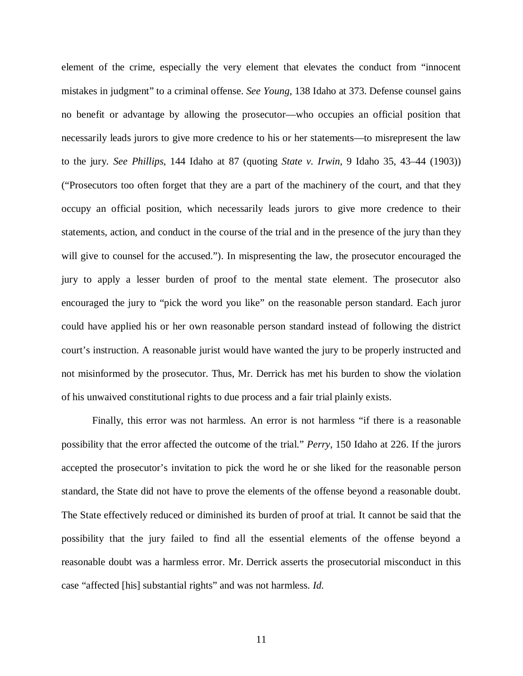element of the crime, especially the very element that elevates the conduct from "innocent mistakes in judgment" to a criminal offense. *See Young*, 138 Idaho at 373. Defense counsel gains no benefit or advantage by allowing the prosecutor—who occupies an official position that necessarily leads jurors to give more credence to his or her statements—to misrepresent the law to the jury. *See Phillips*, 144 Idaho at 87 (quoting *State v. Irwin*, 9 Idaho 35, 43–44 (1903)) ("Prosecutors too often forget that they are a part of the machinery of the court, and that they occupy an official position, which necessarily leads jurors to give more credence to their statements, action, and conduct in the course of the trial and in the presence of the jury than they will give to counsel for the accused."). In mispresenting the law, the prosecutor encouraged the jury to apply a lesser burden of proof to the mental state element. The prosecutor also encouraged the jury to "pick the word you like" on the reasonable person standard. Each juror could have applied his or her own reasonable person standard instead of following the district court's instruction. A reasonable jurist would have wanted the jury to be properly instructed and not misinformed by the prosecutor. Thus, Mr. Derrick has met his burden to show the violation of his unwaived constitutional rights to due process and a fair trial plainly exists.

Finally, this error was not harmless. An error is not harmless "if there is a reasonable possibility that the error affected the outcome of the trial." *Perry*, 150 Idaho at 226. If the jurors accepted the prosecutor's invitation to pick the word he or she liked for the reasonable person standard, the State did not have to prove the elements of the offense beyond a reasonable doubt. The State effectively reduced or diminished its burden of proof at trial. It cannot be said that the possibility that the jury failed to find all the essential elements of the offense beyond a reasonable doubt was a harmless error. Mr. Derrick asserts the prosecutorial misconduct in this case "affected [his] substantial rights" and was not harmless. *Id.*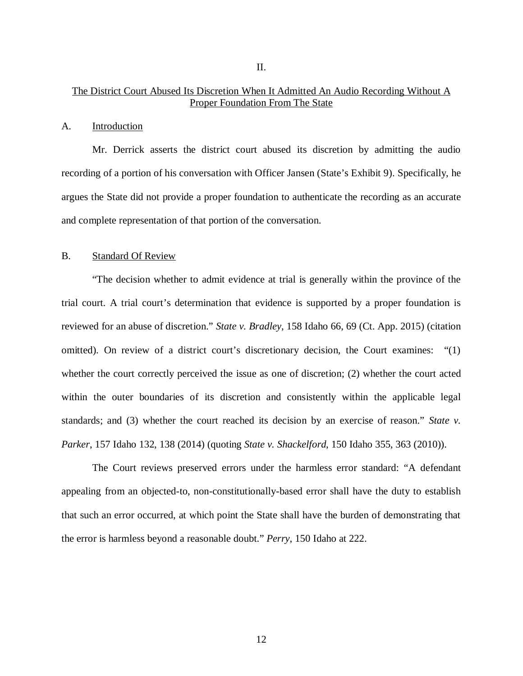### The District Court Abused Its Discretion When It Admitted An Audio Recording Without A Proper Foundation From The State

### A. Introduction

Mr. Derrick asserts the district court abused its discretion by admitting the audio recording of a portion of his conversation with Officer Jansen (State's Exhibit 9). Specifically, he argues the State did not provide a proper foundation to authenticate the recording as an accurate and complete representation of that portion of the conversation.

#### B. Standard Of Review

"The decision whether to admit evidence at trial is generally within the province of the trial court. A trial court's determination that evidence is supported by a proper foundation is reviewed for an abuse of discretion." *State v. Bradley*, 158 Idaho 66, 69 (Ct. App. 2015) (citation omitted). On review of a district court's discretionary decision, the Court examines: "(1) whether the court correctly perceived the issue as one of discretion; (2) whether the court acted within the outer boundaries of its discretion and consistently within the applicable legal standards; and (3) whether the court reached its decision by an exercise of reason." *State v. Parker*, 157 Idaho 132, 138 (2014) (quoting *State v. Shackelford*, 150 Idaho 355, 363 (2010)).

The Court reviews preserved errors under the harmless error standard: "A defendant appealing from an objected-to, non-constitutionally-based error shall have the duty to establish that such an error occurred, at which point the State shall have the burden of demonstrating that the error is harmless beyond a reasonable doubt." *Perry*, 150 Idaho at 222.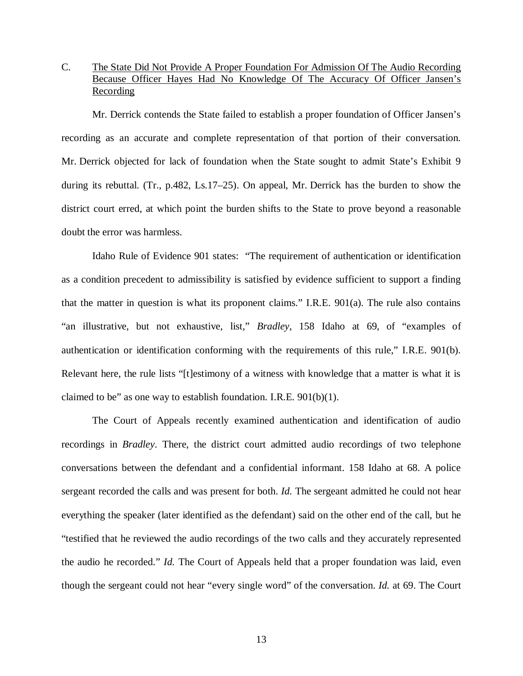### C. The State Did Not Provide A Proper Foundation For Admission Of The Audio Recording Because Officer Hayes Had No Knowledge Of The Accuracy Of Officer Jansen's **Recording**

Mr. Derrick contends the State failed to establish a proper foundation of Officer Jansen's recording as an accurate and complete representation of that portion of their conversation. Mr. Derrick objected for lack of foundation when the State sought to admit State's Exhibit 9 during its rebuttal. (Tr., p.482, Ls.17–25). On appeal, Mr. Derrick has the burden to show the district court erred, at which point the burden shifts to the State to prove beyond a reasonable doubt the error was harmless.

Idaho Rule of Evidence 901 states: "The requirement of authentication or identification as a condition precedent to admissibility is satisfied by evidence sufficient to support a finding that the matter in question is what its proponent claims." I.R.E. 901(a). The rule also contains "an illustrative, but not exhaustive, list," *Bradley*, 158 Idaho at 69, of "examples of authentication or identification conforming with the requirements of this rule," I.R.E. 901(b). Relevant here, the rule lists "[t]estimony of a witness with knowledge that a matter is what it is claimed to be" as one way to establish foundation. I.R.E.  $901(b)(1)$ .

The Court of Appeals recently examined authentication and identification of audio recordings in *Bradley*. There, the district court admitted audio recordings of two telephone conversations between the defendant and a confidential informant. 158 Idaho at 68. A police sergeant recorded the calls and was present for both. *Id.* The sergeant admitted he could not hear everything the speaker (later identified as the defendant) said on the other end of the call, but he "testified that he reviewed the audio recordings of the two calls and they accurately represented the audio he recorded." *Id.* The Court of Appeals held that a proper foundation was laid, even though the sergeant could not hear "every single word" of the conversation. *Id.* at 69. The Court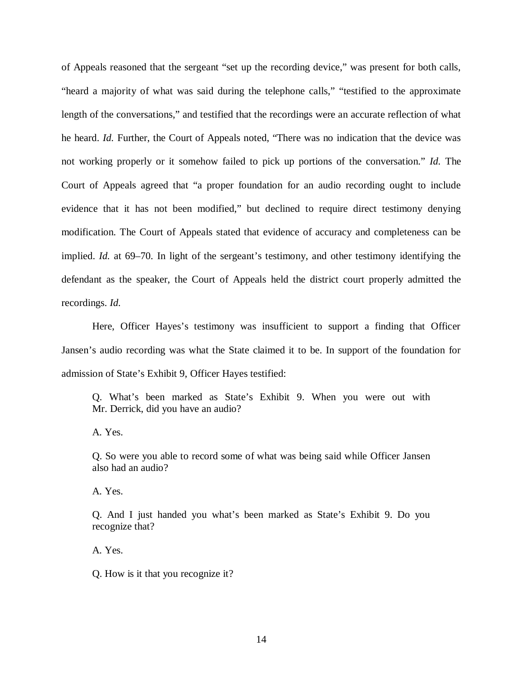of Appeals reasoned that the sergeant "set up the recording device," was present for both calls, "heard a majority of what was said during the telephone calls," "testified to the approximate length of the conversations," and testified that the recordings were an accurate reflection of what he heard. *Id.* Further, the Court of Appeals noted, "There was no indication that the device was not working properly or it somehow failed to pick up portions of the conversation." *Id.* The Court of Appeals agreed that "a proper foundation for an audio recording ought to include evidence that it has not been modified," but declined to require direct testimony denying modification. The Court of Appeals stated that evidence of accuracy and completeness can be implied. *Id.* at 69–70. In light of the sergeant's testimony, and other testimony identifying the defendant as the speaker, the Court of Appeals held the district court properly admitted the recordings. *Id.*

Here, Officer Hayes's testimony was insufficient to support a finding that Officer Jansen's audio recording was what the State claimed it to be. In support of the foundation for admission of State's Exhibit 9, Officer Hayes testified:

Q. What's been marked as State's Exhibit 9. When you were out with Mr. Derrick, did you have an audio?

A. Yes.

Q. So were you able to record some of what was being said while Officer Jansen also had an audio?

A. Yes.

Q. And I just handed you what's been marked as State's Exhibit 9. Do you recognize that?

A. Yes.

Q. How is it that you recognize it?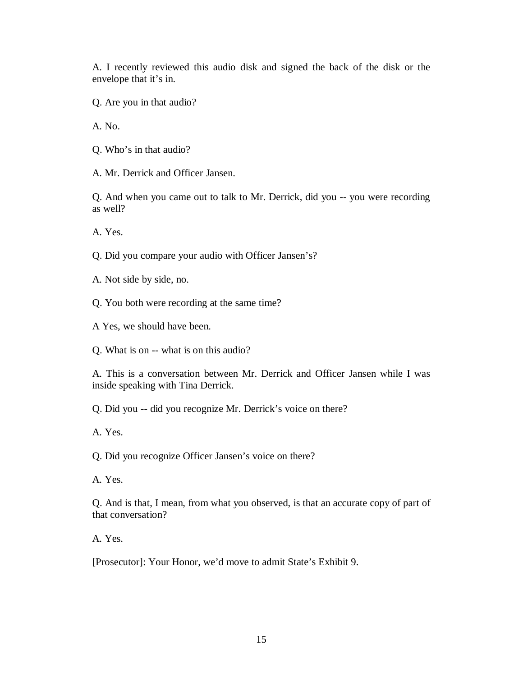A. I recently reviewed this audio disk and signed the back of the disk or the envelope that it's in.

Q. Are you in that audio?

A. No.

Q. Who's in that audio?

A. Mr. Derrick and Officer Jansen.

Q. And when you came out to talk to Mr. Derrick, did you -- you were recording as well?

A. Yes.

Q. Did you compare your audio with Officer Jansen's?

A. Not side by side, no.

Q. You both were recording at the same time?

A Yes, we should have been.

Q. What is on -- what is on this audio?

A. This is a conversation between Mr. Derrick and Officer Jansen while I was inside speaking with Tina Derrick.

Q. Did you -- did you recognize Mr. Derrick's voice on there?

A. Yes.

Q. Did you recognize Officer Jansen's voice on there?

A. Yes.

Q. And is that, I mean, from what you observed, is that an accurate copy of part of that conversation?

A. Yes.

[Prosecutor]: Your Honor, we'd move to admit State's Exhibit 9.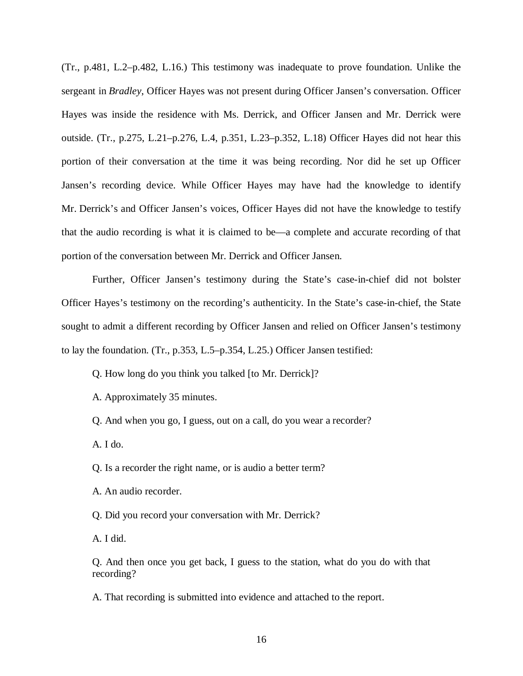(Tr., p.481, L.2–p.482, L.16.) This testimony was inadequate to prove foundation. Unlike the sergeant in *Bradley*, Officer Hayes was not present during Officer Jansen's conversation. Officer Hayes was inside the residence with Ms. Derrick, and Officer Jansen and Mr. Derrick were outside. (Tr., p.275, L.21–p.276, L.4, p.351, L.23–p.352, L.18) Officer Hayes did not hear this portion of their conversation at the time it was being recording. Nor did he set up Officer Jansen's recording device. While Officer Hayes may have had the knowledge to identify Mr. Derrick's and Officer Jansen's voices, Officer Hayes did not have the knowledge to testify that the audio recording is what it is claimed to be—a complete and accurate recording of that portion of the conversation between Mr. Derrick and Officer Jansen.

Further, Officer Jansen's testimony during the State's case-in-chief did not bolster Officer Hayes's testimony on the recording's authenticity. In the State's case-in-chief, the State sought to admit a different recording by Officer Jansen and relied on Officer Jansen's testimony to lay the foundation. (Tr., p.353, L.5–p.354, L.25.) Officer Jansen testified:

Q. How long do you think you talked [to Mr. Derrick]?

A. Approximately 35 minutes.

Q. And when you go, I guess, out on a call, do you wear a recorder?

A. I do.

Q. Is a recorder the right name, or is audio a better term?

A. An audio recorder.

Q. Did you record your conversation with Mr. Derrick?

A. I did.

Q. And then once you get back, I guess to the station, what do you do with that recording?

A. That recording is submitted into evidence and attached to the report.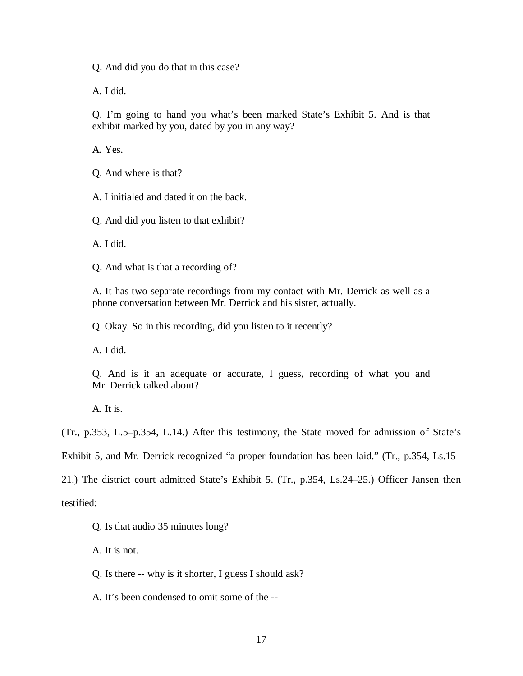Q. And did you do that in this case?

A. I did.

Q. I'm going to hand you what's been marked State's Exhibit 5. And is that exhibit marked by you, dated by you in any way?

A. Yes.

Q. And where is that?

A. I initialed and dated it on the back.

Q. And did you listen to that exhibit?

A. I did.

Q. And what is that a recording of?

A. It has two separate recordings from my contact with Mr. Derrick as well as a phone conversation between Mr. Derrick and his sister, actually.

Q. Okay. So in this recording, did you listen to it recently?

A. I did.

Q. And is it an adequate or accurate, I guess, recording of what you and Mr. Derrick talked about?

A. It is.

(Tr., p.353, L.5–p.354, L.14.) After this testimony, the State moved for admission of State's

Exhibit 5, and Mr. Derrick recognized "a proper foundation has been laid." (Tr., p.354, Ls.15–

21.) The district court admitted State's Exhibit 5. (Tr., p.354, Ls.24–25.) Officer Jansen then

testified:

Q. Is that audio 35 minutes long?

A. It is not.

Q. Is there -- why is it shorter, I guess I should ask?

A. It's been condensed to omit some of the --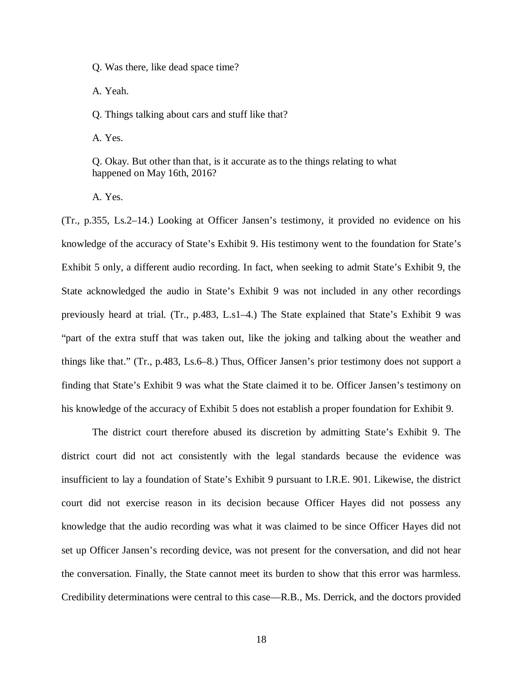Q. Was there, like dead space time?

A. Yeah.

Q. Things talking about cars and stuff like that?

A. Yes.

Q. Okay. But other than that, is it accurate as to the things relating to what happened on May 16th, 2016?

A. Yes.

(Tr., p.355, Ls.2–14.) Looking at Officer Jansen's testimony, it provided no evidence on his knowledge of the accuracy of State's Exhibit 9. His testimony went to the foundation for State's Exhibit 5 only, a different audio recording. In fact, when seeking to admit State's Exhibit 9, the State acknowledged the audio in State's Exhibit 9 was not included in any other recordings previously heard at trial. (Tr., p.483, L.s1–4.) The State explained that State's Exhibit 9 was "part of the extra stuff that was taken out, like the joking and talking about the weather and things like that." (Tr., p.483, Ls.6–8.) Thus, Officer Jansen's prior testimony does not support a finding that State's Exhibit 9 was what the State claimed it to be. Officer Jansen's testimony on his knowledge of the accuracy of Exhibit 5 does not establish a proper foundation for Exhibit 9.

The district court therefore abused its discretion by admitting State's Exhibit 9. The district court did not act consistently with the legal standards because the evidence was insufficient to lay a foundation of State's Exhibit 9 pursuant to I.R.E. 901. Likewise, the district court did not exercise reason in its decision because Officer Hayes did not possess any knowledge that the audio recording was what it was claimed to be since Officer Hayes did not set up Officer Jansen's recording device, was not present for the conversation, and did not hear the conversation. Finally, the State cannot meet its burden to show that this error was harmless. Credibility determinations were central to this case—R.B., Ms. Derrick, and the doctors provided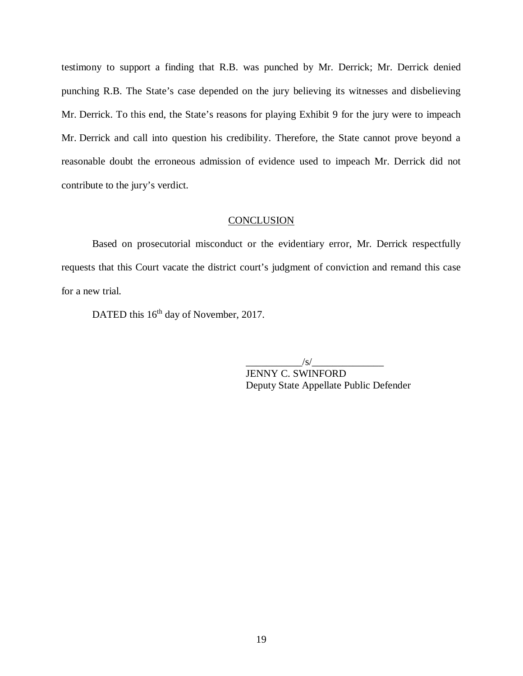testimony to support a finding that R.B. was punched by Mr. Derrick; Mr. Derrick denied punching R.B. The State's case depended on the jury believing its witnesses and disbelieving Mr. Derrick. To this end, the State's reasons for playing Exhibit 9 for the jury were to impeach Mr. Derrick and call into question his credibility. Therefore, the State cannot prove beyond a reasonable doubt the erroneous admission of evidence used to impeach Mr. Derrick did not contribute to the jury's verdict.

#### **CONCLUSION**

Based on prosecutorial misconduct or the evidentiary error, Mr. Derrick respectfully requests that this Court vacate the district court's judgment of conviction and remand this case for a new trial.

DATED this 16<sup>th</sup> day of November, 2017.

 $/s/$ 

JENNY C. SWINFORD Deputy State Appellate Public Defender